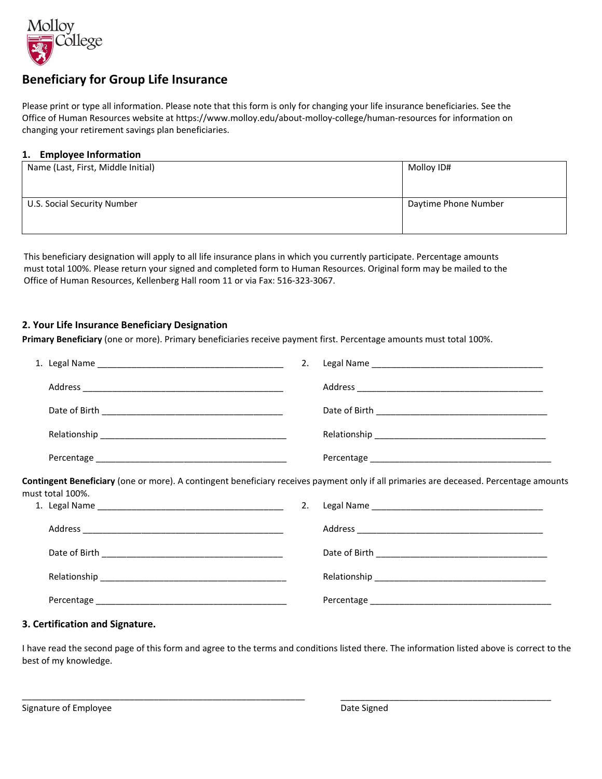

# **Beneficiary for Group Life Insurance**

Please print or type all information. Please note that this form is only for changing your life insurance beneficiaries. See the Office of Human Resources website at https://www.molloy.edu/about-molloy-college/human-resources for information on changing your retirement savings plan beneficiaries.

### **1. Employee Information**

| Name (Last, First, Middle Initial) | Molloy ID#           |
|------------------------------------|----------------------|
| U.S. Social Security Number        | Daytime Phone Number |

This beneficiary designation will apply to all life insurance plans in which you currently participate. Percentage amounts must total 100%. Please return your signed and completed form to Human Resources. Original form may be mailed to the Office of Human Resources, Kellenberg Hall room 11 or via Fax: 516-323-3067.

### **2. Your Life Insurance Beneficiary Designation**

**Primary Beneficiary** (one or more). Primary beneficiaries receive payment first. Percentage amounts must total 100%.

|                                                                                                                                                            |  | 2. |  |  |  |
|------------------------------------------------------------------------------------------------------------------------------------------------------------|--|----|--|--|--|
|                                                                                                                                                            |  |    |  |  |  |
|                                                                                                                                                            |  |    |  |  |  |
|                                                                                                                                                            |  |    |  |  |  |
|                                                                                                                                                            |  |    |  |  |  |
| Contingent Beneficiary (one or more). A contingent beneficiary receives payment only if all primaries are deceased. Percentage amounts<br>must total 100%. |  |    |  |  |  |
|                                                                                                                                                            |  | 2. |  |  |  |
|                                                                                                                                                            |  |    |  |  |  |
|                                                                                                                                                            |  |    |  |  |  |
|                                                                                                                                                            |  |    |  |  |  |
|                                                                                                                                                            |  |    |  |  |  |
|                                                                                                                                                            |  |    |  |  |  |

### **3. Certification and Signature.**

I have read the second page of this form and agree to the terms and conditions listed there. The information listed above is correct to the best of my knowledge.

\_\_\_\_\_\_\_\_\_\_\_\_\_\_\_\_\_\_\_\_\_\_\_\_\_\_\_\_\_\_\_\_\_\_\_\_\_\_\_\_\_\_\_\_\_\_\_\_\_\_\_\_\_\_\_\_\_\_ \_\_\_\_\_\_\_\_\_\_\_\_\_\_\_\_\_\_\_\_\_\_\_\_\_\_\_\_\_\_\_\_\_\_\_\_\_\_\_\_\_\_\_